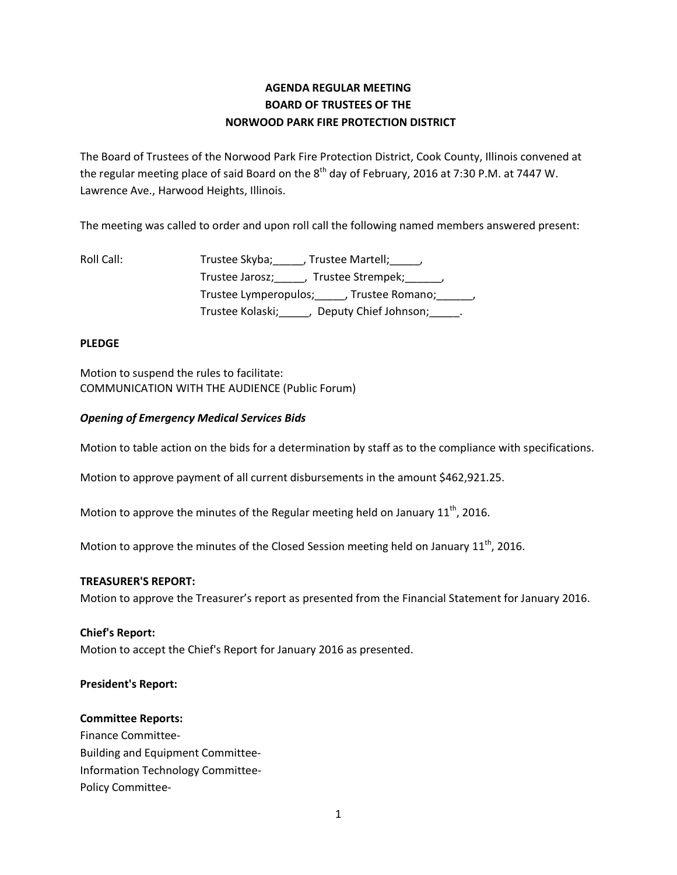# **AGENDA REGULAR MEETING BOARD OF TRUSTEES OF THE NORWOOD PARK FIRE PROTECTION DISTRICT**

The Board of Trustees of the Norwood Park Fire Protection District, Cook County, Illinois convened at the regular meeting place of said Board on the 8<sup>th</sup> day of February, 2016 at 7:30 P.M. at 7447 W. Lawrence Ave., Harwood Heights, Illinois.

The meeting was called to order and upon roll call the following named members answered present:

| Roll Call: | Trustee Skyba; _____, Trustee Martell; _____,        |
|------------|------------------------------------------------------|
|            | Trustee Jarosz; _____, Trustee Strempek; ______,     |
|            | Trustee Lymperopulos; _____, Trustee Romano; ______, |
|            | Trustee Kolaski;<br>Deputy Chief Johnson; Theory     |

### **PLEDGE**

Motion to suspend the rules to facilitate: COMMUNICATION WITH THE AUDIENCE (Public Forum)

## *Opening of Emergency Medical Services Bids*

Motion to table action on the bids for a determination by staff as to the compliance with specifications.

Motion to approve payment of all current disbursements in the amount \$462,921.25.

Motion to approve the minutes of the Regular meeting held on January  $11<sup>th</sup>$ , 2016.

Motion to approve the minutes of the Closed Session meeting held on January  $11<sup>th</sup>$ , 2016.

### **TREASURER'S REPORT:**

Motion to approve the Treasurer's report as presented from the Financial Statement for January 2016.

### **Chief's Report:**

Motion to accept the Chief's Report for January 2016 as presented.

### **President's Report:**

### **Committee Reports:**

Finance Committee-Building and Equipment Committee-Information Technology Committee-Policy Committee